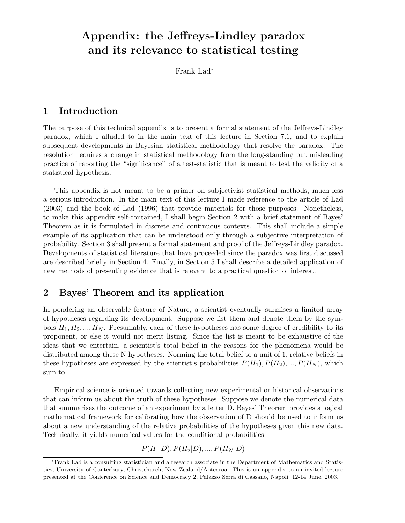# **Appendix: the Jeffreys-Lindley paradox and its relevance to statistical testing**

Frank Lad<sup>∗</sup>

## **1 Introduction**

The purpose of this technical appendix is to present a formal statement of the Jeffreys-Lindley paradox, which I alluded to in the main text of this lecture in Section 7.1, and to explain subsequent developments in Bayesian statistical methodology that resolve the paradox. The resolution requires a change in statistical methodology from the long-standing but misleading practice of reporting the "significance" of a test-statistic that is meant to test the validity of a statistical hypothesis.

This appendix is not meant to be a primer on subjectivist statistical methods, much less a serious introduction. In the main text of this lecture I made reference to the article of Lad (2003) and the book of Lad (1996) that provide materials for those purposes. Nonetheless, to make this appendix self-contained, I shall begin Section 2 with a brief statement of Bayes' Theorem as it is formulated in discrete and continuous contexts. This shall include a simple example of its application that can be understood only through a subjective interpretation of probability. Section 3 shall present a formal statement and proof of the Jeffreys-Lindley paradox. Developments of statistical literature that have proceeded since the paradox was first discussed are described briefly in Section 4. Finally, in Section 5 I shall describe a detailed application of new methods of presenting evidence that is relevant to a practical question of interest.

# **2 Bayes' Theorem and its application**

In pondering an observable feature of Nature, a scientist eventually surmises a limited array of hypotheses regarding its development. Suppose we list them and denote them by the symbols  $H_1, H_2, ..., H_N$ . Presumably, each of these hypotheses has some degree of credibility to its proponent, or else it would not merit listing. Since the list is meant to be exhaustive of the ideas that we entertain, a scientist's total belief in the reasons for the phenomena would be distributed among these N hypotheses. Norming the total belief to a unit of 1, relative beliefs in these hypotheses are expressed by the scientist's probabilities  $P(H_1), P(H_2), ..., P(H_N)$ , which sum to 1.

Empirical science is oriented towards collecting new experimental or historical observations that can inform us about the truth of these hypotheses. Suppose we denote the numerical data that summarises the outcome of an experiment by a letter D. Bayes' Theorem provides a logical mathematical framework for calibrating how the observation of D should be used to inform us about a new understanding of the relative probabilities of the hypotheses given this new data. Technically, it yields numerical values for the conditional probabilities

$$
P(H_1|D), P(H_2|D), ..., P(H_N|D)
$$

<sup>∗</sup>Frank Lad is a consulting statistician and a research associate in the Department of Mathematics and Statistics, University of Canterbury, Christchurch, New Zealand/Aotearoa. This is an appendix to an invited lecture presented at the Conference on Science and Democracy 2, Palazzo Serra di Cassano, Napoli, 12-14 June, 2003.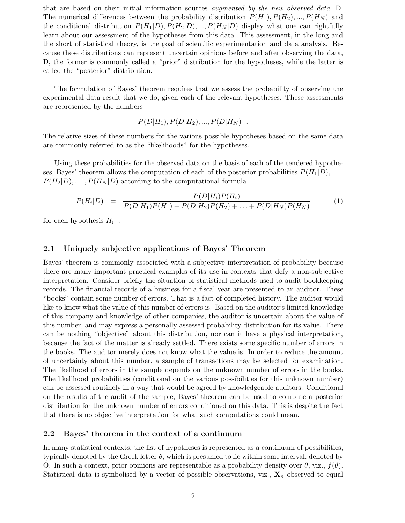that are based on their initial information sources *augmented by the new observed data*, D. The numerical differences between the probability distribution  $P(H_1), P(H_2), ..., P(H_N)$  and the conditional distribution  $P(H_1|D), P(H_2|D), ..., P(H_N|D)$  display what one can rightfully learn about our assessment of the hypotheses from this data. This assessment, in the long and the short of statistical theory, is the goal of scientific experimentation and data analysis. Because these distributions can represent uncertain opinions before and after observing the data, D, the former is commonly called a "prior" distribution for the hypotheses, while the latter is called the "posterior" distribution.

The formulation of Bayes' theorem requires that we assess the probability of observing the experimental data result that we do, given each of the relevant hypotheses. These assessments are represented by the numbers

$$
P(D|H_1), P(D|H_2), ..., P(D|H_N)
$$
.

The relative sizes of these numbers for the various possible hypotheses based on the same data are commonly referred to as the "likelihoods" for the hypotheses.

Using these probabilities for the observed data on the basis of each of the tendered hypotheses, Bayes' theorem allows the computation of each of the posterior probabilities  $P(H_1|D)$ ,  $P(H_2|D),\ldots,P(H_N|D)$  according to the computational formula

$$
P(H_i|D) = \frac{P(D|H_i)P(H_i)}{P(D|H_1)P(H_1) + P(D|H_2)P(H_2) + \dots + P(D|H_N)P(H_N)}
$$
(1)

for each hypothesis  $H_i$ .

#### **2.1 Uniquely subjective applications of Bayes' Theorem**

Bayes' theorem is commonly associated with a subjective interpretation of probability because there are many important practical examples of its use in contexts that defy a non-subjective interpretation. Consider briefly the situation of statistical methods used to audit bookkeeping records. The financial records of a business for a fiscal year are presented to an auditor. These "books" contain some number of errors. That is a fact of completed history. The auditor would like to know what the value of this number of errors is. Based on the auditor's limited knowledge of this company and knowledge of other companies, the auditor is uncertain about the value of this number, and may express a personally assessed probability distribution for its value. There can be nothing "objective" about this distribution, nor can it have a physical interpretation, because the fact of the matter is already settled. There exists some specific number of errors in the books. The auditor merely does not know what the value is. In order to reduce the amount of uncertainty about this number, a sample of transactions may be selected for examination. The likelihood of errors in the sample depends on the unknown number of errors in the books. The likelihood probabilities (conditional on the various possibilities for this unknown number) can be assessed routinely in a way that would be agreed by knowledgeable auditors. Conditional on the results of the audit of the sample, Bayes' theorem can be used to compute a posterior distribution for the unknown number of errors conditioned on this data. This is despite the fact that there is no objective interpretation for what such computations could mean.

#### **2.2 Bayes' theorem in the context of a continuum**

In many statistical contexts, the list of hypotheses is represented as a continuum of possibilities, typically denoted by the Greek letter  $\theta$ , which is presumed to lie within some interval, denoted by Θ. In such a context, prior opinions are representable as a probability density over θ, viz., f(θ). Statistical data is symbolised by a vector of possible observations, viz.,  $\mathbf{X}_n$  observed to equal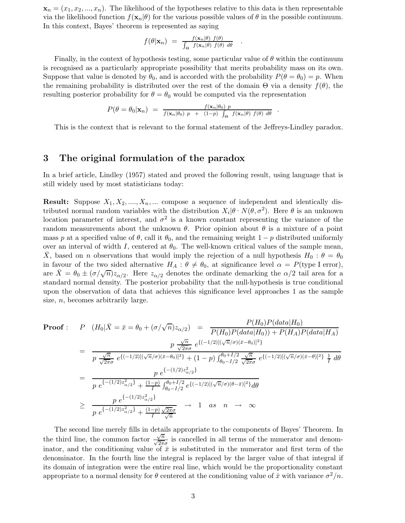$\mathbf{x}_n = (x_1, x_2, ..., x_n)$ . The likelihood of the hypotheses relative to this data is then representable via the likelihood function  $f(\mathbf{x}_n|\theta)$  for the various possible values of  $\theta$  in the possible continuum. In this context, Bayes' theorem is represented as saying

$$
f(\theta|\mathbf{x}_n) = \frac{f(\mathbf{x}_n|\theta) f(\theta)}{\int_{\Theta} f(\mathbf{x}_n|\theta) f(\theta) d\theta} .
$$

Finally, in the context of hypothesis testing, some particular value of  $\theta$  within the continuum is recognised as a particularly appropriate possibility that merits probability mass on its own. Suppose that value is denoted by  $\theta_0$ , and is accorded with the probability  $P(\theta = \theta_0) = p$ . When the remaining probability is distributed over the rest of the domain  $\Theta$  via a density  $f(\theta)$ , the resulting posterior probability for  $\theta = \theta_0$  would be computed via the representation

$$
P(\theta = \theta_0 | \mathbf{x}_n) = \frac{f(\mathbf{x}_n | \theta_0) p}{f(\mathbf{x}_n | \theta_0) p + (1-p) \int_{\Theta} f(\mathbf{x}_n | \theta) f(\theta) d\theta}.
$$

This is the context that is relevant to the formal statement of the Jeffreys-Lindley paradox.

## **3 The original formulation of the paradox**

In a brief article, Lindley (1957) stated and proved the following result, using language that is still widely used by most statisticians today:

**Result:** Suppose  $X_1, X_2, \ldots, X_n, \ldots$  compose a sequence of independent and identically distributed normal random variables with the distribution  $X_i|\theta \cdot N(\theta, \sigma^2)$ . Here  $\theta$  is an unknown location parameter of interest, and  $\sigma^2$  is a known constant representing the variance of the random measurements about the unknown  $\theta$ . Prior opinion about  $\theta$  is a mixture of a point mass p at a specified value of  $\theta$ , call it  $\theta_0$ , and the remaining weight  $1-p$  distributed uniformly over an interval of width I, centered at  $\theta_0$ . The well-known critical values of the sample mean,  $\bar{X}$ , based on n observations that would imply the rejection of a null hypothesis  $H_0$ :  $\theta = \theta_0$ in favour of the two sided alternative  $H_A: \theta \neq \theta_0$ , at significance level  $\alpha = P(\text{type I error})$ , are  $X = \theta_0 \pm (\sigma/\sqrt{n})z_{\alpha/2}$ . Here  $z_{\alpha/2}$  denotes the ordinate demarking the  $\alpha/2$  tail area for a standard normal density. The posterior probability that the null-hypothesis is true conditional upon the observation of data that achieves this significance level approaches 1 as the sample size,  $n$ , becomes arbitrarily large.

Proof: 
$$
P (H_0 | \bar{X} = \bar{x} = \theta_0 + (\sigma/\sqrt{n}) z_{\alpha/2}) = \frac{P(H_0) P(data | H_0)}{P(H_0) P(data | H_0)} + P(H_A) P(data | H_A)}
$$
  
\n
$$
= \frac{p \frac{\sqrt{n}}{\sqrt{2\pi}\sigma} e^{\{(-1/2)[(\sqrt{n}/\sigma)(\bar{x}-\theta_0)]^2\}}}{p \frac{\sqrt{n}}{\sqrt{2\pi}\sigma} e^{\{(-1/2)[(\sqrt{n}/\sigma)(\bar{x}-\theta_0)]^2\}} + (1-p) \int_{\theta_0 - I/2}^{\theta_0 + I/2} \frac{\sqrt{n}}{\sqrt{2\pi}\sigma} e^{\{(-1/2)[(\sqrt{n}/\sigma)(\bar{x}-\theta)]^2\}} \frac{1}{I} d\theta}
$$
  
\n
$$
= \frac{p e^{\{-1/2\} z_{\alpha/2}^2\}}}{p e^{\{-1/2\} z_{\alpha/2}^2\}} + \frac{(1-p) \int_{\theta_0 - I/2}^{\theta_0 + I/2} e^{\{(-1/2)[(\sqrt{n}/\sigma)(\theta - \bar{x})]^2\}} d\theta}
$$
  
\n
$$
\geq \frac{p e^{\{-1/2\} z_{\alpha/2}^2\}}{p e^{\{-1/2\} z_{\alpha/2}^2\}} + \frac{(1-p) \sqrt{2\pi}\sigma}{I} \to 1 \text{ as } n \to \infty
$$

The second line merely fills in details appropriate to the components of Bayes' Theorem. In the third line, the common factor  $\frac{\sqrt{n}}{\sqrt{2\pi}\sigma}$  is cancelled in all terms of the numerator and denominator, and the conditioning value of  $\bar{x}$  is substituted in the numerator and first term of the denominator. In the fourth line the integral is replaced by the larger value of that integral if its domain of integration were the entire real line, which would be the proportionality constant appropriate to a normal density for  $\theta$  centered at the conditioning value of  $\bar{x}$  with variance  $\sigma^2/n$ .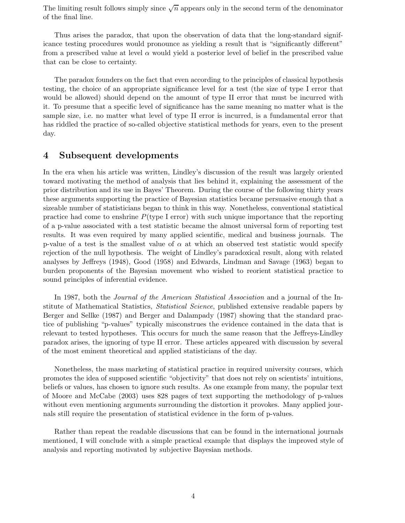The limiting result follows simply since  $\sqrt{n}$  appears only in the second term of the denominator of the final line.

Thus arises the paradox, that upon the observation of data that the long-standard significance testing procedures would pronounce as yielding a result that is "significantly different" from a prescribed value at level  $\alpha$  would yield a posterior level of belief in the prescribed value that can be close to certainty.

The paradox founders on the fact that even according to the principles of classical hypothesis testing, the choice of an appropriate significance level for a test (the size of type I error that would be allowed) should depend on the amount of type II error that must be incurred with it. To presume that a specific level of significance has the same meaning no matter what is the sample size, i.e. no matter what level of type II error is incurred, is a fundamental error that has riddled the practice of so-called objective statistical methods for years, even to the present day.

# **4 Subsequent developments**

In the era when his article was written, Lindley's discussion of the result was largely oriented toward motivating the method of analysis that lies behind it, explaining the assessment of the prior distribution and its use in Bayes' Theorem. During the course of the following thirty years these arguments supporting the practice of Bayesian statistics became persuasive enough that a sizeable number of statisticians began to think in this way. Nonetheless, conventional statistical practice had come to enshrine  $P$ (type I error) with such unique importance that the reporting of a p-value associated with a test statistic became the almost universal form of reporting test results. It was even required by many applied scientific, medical and business journals. The p-value of a test is the smallest value of  $\alpha$  at which an observed test statistic would specify rejection of the null hypothesis. The weight of Lindley's paradoxical result, along with related analyses by Jeffreys (1948), Good (1958) and Edwards, Lindman and Savage (1963) began to burden proponents of the Bayesian movement who wished to reorient statistical practice to sound principles of inferential evidence.

In 1987, both the *Journal of the American Statistical Association* and a journal of the Institute of Mathematical Statistics, *Statistical Science*, published extensive readable papers by Berger and Sellke (1987) and Berger and Dalampady (1987) showing that the standard practice of publishing "p-values" typically misconstrues the evidence contained in the data that is relevant to tested hypotheses. This occurs for much the same reason that the Jeffreys-Lindley paradox arises, the ignoring of type II error. These articles appeared with discussion by several of the most eminent theoretical and applied statisticians of the day.

Nonetheless, the mass marketing of statistical practice in required university courses, which promotes the idea of supposed scientific "objectivity" that does not rely on scientists' intuitions, beliefs or values, has chosen to ignore such results. As one example from many, the popular text of Moore and McCabe (2003) uses 828 pages of text supporting the methodology of p-values without even mentioning arguments surrounding the distortion it provokes. Many applied journals still require the presentation of statistical evidence in the form of p-values.

Rather than repeat the readable discussions that can be found in the international journals mentioned, I will conclude with a simple practical example that displays the improved style of analysis and reporting motivated by subjective Bayesian methods.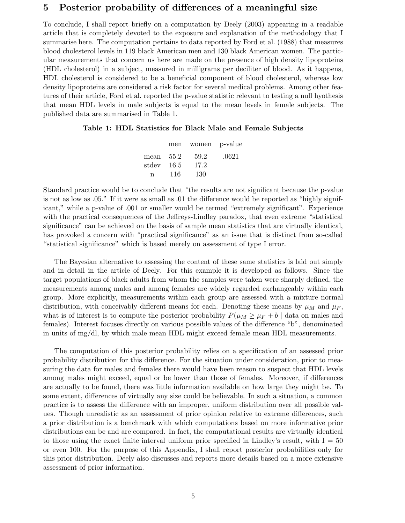# **5 Posterior probability of differences of a meaningful size**

To conclude, I shall report briefly on a computation by Deely (2003) appearing in a readable article that is completely devoted to the exposure and explanation of the methodology that I summarise here. The computation pertains to data reported by Ford et al. (1988) that measures blood cholesterol levels in 119 black American men and 130 black American women. The particular measurements that concern us here are made on the presence of high density lipoproteins (HDL cholesterol) in a subject, measured in milligrams per deciliter of blood. As it happens, HDL cholesterol is considered to be a beneficial component of blood cholesterol, whereas low density lipoproteins are considered a risk factor for several medical problems. Among other features of their article, Ford et al. reported the p-value statistic relevant to testing a null hyothesis that mean HDL levels in male subjects is equal to the mean levels in female subjects. The published data are summarised in Table 1.

#### **Table 1: HDL Statistics for Black Male and Female Subjects**

|             |     | men women p-value |       |
|-------------|-----|-------------------|-------|
| mean $55.2$ |     | 59.2              | .0621 |
| stdev 16.5  |     | 17.2              |       |
| n           | 116 | 130               |       |

Standard practice would be to conclude that "the results are not significant because the p-value is not as low as .05." If it were as small as .01 the difference would be reported as "highly significant," while a p-value of .001 or smaller would be termed "extremely significant". Experience with the practical consequences of the Jeffreys-Lindley paradox, that even extreme "statistical significance" can be achieved on the basis of sample mean statistics that are virtually identical, has provoked a concern with "practical significance" as an issue that is distinct from so-called "statistical significance" which is based merely on assessment of type I error.

The Bayesian alternative to assessing the content of these same statistics is laid out simply and in detail in the article of Deely. For this example it is developed as follows. Since the target populations of black adults from whom the samples were taken were sharply defined, the measurements among males and among females are widely regarded exchangeably within each group. More explicitly, measurements within each group are assessed with a mixture normal distribution, with conceivably different means for each. Denoting these means by  $\mu_M$  and  $\mu_F$ , what is of interest is to compute the posterior probability  $P(\mu_M \ge \mu_F + b \mid \text{data on males and})$ females). Interest focuses directly on various possible values of the difference "b", denominated in units of mg/dl, by which male mean HDL might exceed female mean HDL measurements.

The computation of this posterior probability relies on a specification of an assessed prior probability distribution for this difference. For the situation under consideration, prior to measuring the data for males and females there would have been reason to suspect that HDL levels among males might exceed, equal or be lower than those of females. Moreover, if differences are actually to be found, there was little information available on how large they might be. To some extent, differences of virtually any size could be believable. In such a situation, a common practice is to assess the difference with an improper, uniform distribution over all possible values. Though unrealistic as an assessment of prior opinion relative to extreme differences, such a prior distribution is a benchmark with which computations based on more informative prior distributions can be and are compared. In fact, the computational results are virtually identical to those using the exact finite interval uniform prior specified in Lindley's result, with  $I = 50$ or even 100. For the purpose of this Appendix, I shall report posterior probabilities only for this prior distribution. Deely also discusses and reports more details based on a more extensive assessment of prior information.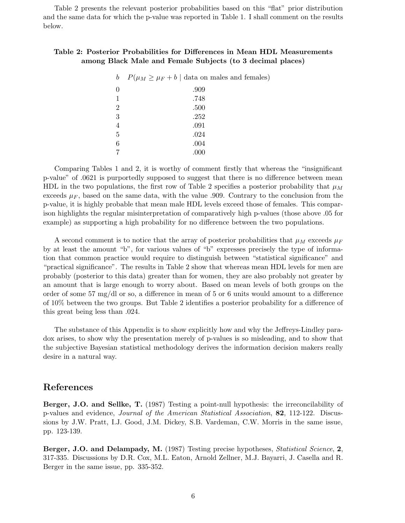Table 2 presents the relevant posterior probabilities based on this "flat" prior distribution and the same data for which the p-value was reported in Table 1. I shall comment on the results below.

#### **Table 2: Posterior Probabilities for Differences in Mean HDL Measurements among Black Male and Female Subjects (to 3 decimal places)**

| b              | $P(\mu_M \geq \mu_F + b \mid \text{data on males and females})$ |
|----------------|-----------------------------------------------------------------|
| $\theta$       | .909                                                            |
| 1              | .748                                                            |
| $\overline{2}$ | .500                                                            |
| 3              | .252                                                            |
| $\overline{4}$ | .091                                                            |
| $\overline{5}$ | .024                                                            |
| 6              | .004                                                            |
|                | .000                                                            |

Comparing Tables 1 and 2, it is worthy of comment firstly that whereas the "insignificant p-value" of .0621 is purportedly supposed to suggest that there is no difference between mean HDL in the two populations, the first row of Table 2 specifies a posterior probability that  $\mu_M$ exceeds  $\mu_F$ , based on the same data, with the value .909. Contrary to the conclusion from the p-value, it is highly probable that mean male HDL levels exceed those of females. This comparison highlights the regular misinterpretation of comparatively high p-values (those above .05 for example) as supporting a high probability for no difference between the two populations.

A second comment is to notice that the array of posterior probabilities that  $\mu_M$  exceeds  $\mu_F$ by at least the amount "b", for various values of "b" expresses precisely the type of information that common practice would require to distinguish between "statistical significance" and "practical significance". The results in Table 2 show that whereas mean HDL levels for men are probably (posterior to this data) greater than for women, they are also probably not greater by an amount that is large enough to worry about. Based on mean levels of both groups on the order of some 57 mg/dl or so, a difference in mean of 5 or 6 units would amount to a difference of 10% between the two groups. But Table 2 identifies a posterior probability for a difference of this great being less than .024.

The substance of this Appendix is to show explicitly how and why the Jeffreys-Lindley paradox arises, to show why the presentation merely of p-values is so misleading, and to show that the subjective Bayesian statistical methodology derives the information decision makers really desire in a natural way.

#### **References**

**Berger, J.O. and Sellke, T.** (1987) Testing a point-null hypothesis: the irreconcilability of p-values and evidence, *Journal of the American Statistical Association*, **82**, 112-122. Discussions by J.W. Pratt, I.J. Good, J.M. Dickey, S.B. Vardeman, C.W. Morris in the same issue, pp. 123-139.

**Berger, J.O. and Delampady, M.** (1987) Testing precise hypotheses, *Statistical Science*, **2**, 317-335. Discussions by D.R. Cox, M.L. Eaton, Arnold Zellner, M.J. Bayarri, J. Casella and R. Berger in the same issue, pp. 335-352.